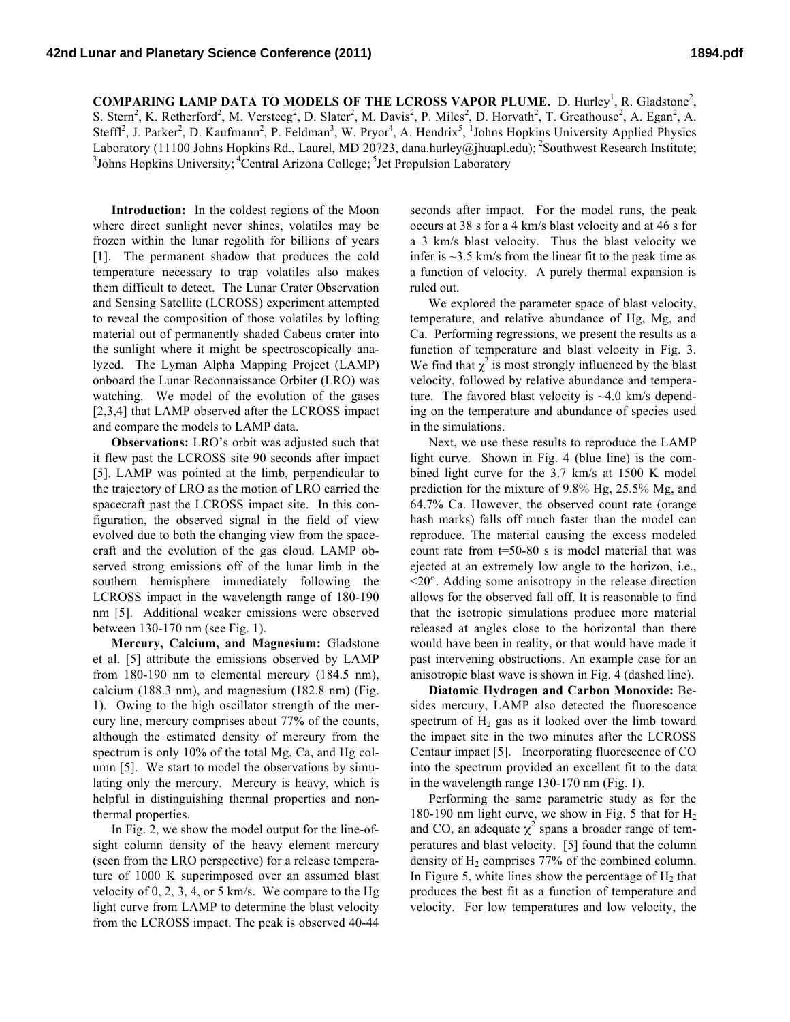**COMPARING LAMP DATA TO MODELS OF THE LCROSS VAPOR PLUME.** D. Hurley<sup>1</sup>, R. Gladstone<sup>2</sup>, S. Stern<sup>2</sup>, K. Retherford<sup>2</sup>, M. Versteeg<sup>2</sup>, D. Slater<sup>2</sup>, M. Davis<sup>2</sup>, P. Miles<sup>2</sup>, D. Horvath<sup>2</sup>, T. Greathouse<sup>2</sup>, A. Egan<sup>2</sup>, A. Steffl<sup>2</sup>, J. Parker<sup>2</sup>, D. Kaufmann<sup>2</sup>, P. Feldman<sup>3</sup>, W. Pryor<sup>4</sup>, A. Hendrix<sup>5</sup>, <sup>1</sup>Johns Hopkins University Applied Physics Laboratory (11100 Johns Hopkins Rd., Laurel, MD 20723, dana.hurley@jhuapl.edu); <sup>2</sup>Southwest Research Institute; <sup>3</sup> Johns Hopkins University; <sup>4</sup>Central Arizona College; <sup>5</sup> Jet Propulsion Laboratory

**Introduction:** In the coldest regions of the Moon where direct sunlight never shines, volatiles may be frozen within the lunar regolith for billions of years [1]. The permanent shadow that produces the cold temperature necessary to trap volatiles also makes them difficult to detect. The Lunar Crater Observation and Sensing Satellite (LCROSS) experiment attempted to reveal the composition of those volatiles by lofting material out of permanently shaded Cabeus crater into the sunlight where it might be spectroscopically analyzed. The Lyman Alpha Mapping Project (LAMP) onboard the Lunar Reconnaissance Orbiter (LRO) was watching. We model of the evolution of the gases [2,3,4] that LAMP observed after the LCROSS impact and compare the models to LAMP data.

**Observations:** LRO's orbit was adjusted such that it flew past the LCROSS site 90 seconds after impact [5]. LAMP was pointed at the limb, perpendicular to the trajectory of LRO as the motion of LRO carried the spacecraft past the LCROSS impact site. In this configuration, the observed signal in the field of view evolved due to both the changing view from the spacecraft and the evolution of the gas cloud. LAMP observed strong emissions off of the lunar limb in the southern hemisphere immediately following the LCROSS impact in the wavelength range of 180-190 nm [5]. Additional weaker emissions were observed between 130-170 nm (see Fig. 1).

**Mercury, Calcium, and Magnesium:** Gladstone et al. [5] attribute the emissions observed by LAMP from 180-190 nm to elemental mercury (184.5 nm), calcium (188.3 nm), and magnesium (182.8 nm) (Fig. 1). Owing to the high oscillator strength of the mercury line, mercury comprises about 77% of the counts, although the estimated density of mercury from the spectrum is only 10% of the total Mg, Ca, and Hg column [5]. We start to model the observations by simulating only the mercury. Mercury is heavy, which is helpful in distinguishing thermal properties and nonthermal properties.

In Fig. 2, we show the model output for the line-ofsight column density of the heavy element mercury (seen from the LRO perspective) for a release temperature of 1000 K superimposed over an assumed blast velocity of 0, 2, 3, 4, or 5 km/s. We compare to the Hg light curve from LAMP to determine the blast velocity from the LCROSS impact. The peak is observed 40-44

seconds after impact. For the model runs, the peak occurs at 38 s for a 4 km/s blast velocity and at 46 s for a 3 km/s blast velocity. Thus the blast velocity we infer is  $\sim$ 3.5 km/s from the linear fit to the peak time as a function of velocity. A purely thermal expansion is ruled out.

We explored the parameter space of blast velocity, temperature, and relative abundance of Hg, Mg, and Ca. Performing regressions, we present the results as a function of temperature and blast velocity in Fig. 3. We find that  $\chi^2$  is most strongly influenced by the blast velocity, followed by relative abundance and temperature. The favored blast velocity is  $~4.0$  km/s depending on the temperature and abundance of species used in the simulations.

Next, we use these results to reproduce the LAMP light curve. Shown in Fig. 4 (blue line) is the combined light curve for the 3.7 km/s at 1500 K model prediction for the mixture of 9.8% Hg, 25.5% Mg, and 64.7% Ca. However, the observed count rate (orange hash marks) falls off much faster than the model can reproduce. The material causing the excess modeled count rate from t=50-80 s is model material that was ejected at an extremely low angle to the horizon, i.e.,  $\leq$ 20 $^{\circ}$ . Adding some anisotropy in the release direction allows for the observed fall off. It is reasonable to find that the isotropic simulations produce more material released at angles close to the horizontal than there would have been in reality, or that would have made it past intervening obstructions. An example case for an anisotropic blast wave is shown in Fig. 4 (dashed line).

**Diatomic Hydrogen and Carbon Monoxide:** Besides mercury, LAMP also detected the fluorescence spectrum of  $H_2$  gas as it looked over the limb toward the impact site in the two minutes after the LCROSS Centaur impact [5]. Incorporating fluorescence of CO into the spectrum provided an excellent fit to the data in the wavelength range 130-170 nm (Fig. 1).

Performing the same parametric study as for the 180-190 nm light curve, we show in Fig. 5 that for H2 and CO, an adequate  $\chi^2$  spans a broader range of temperatures and blast velocity. [5] found that the column density of  $H_2$  comprises 77% of the combined column. In Figure 5, white lines show the percentage of  $H_2$  that produces the best fit as a function of temperature and velocity. For low temperatures and low velocity, the